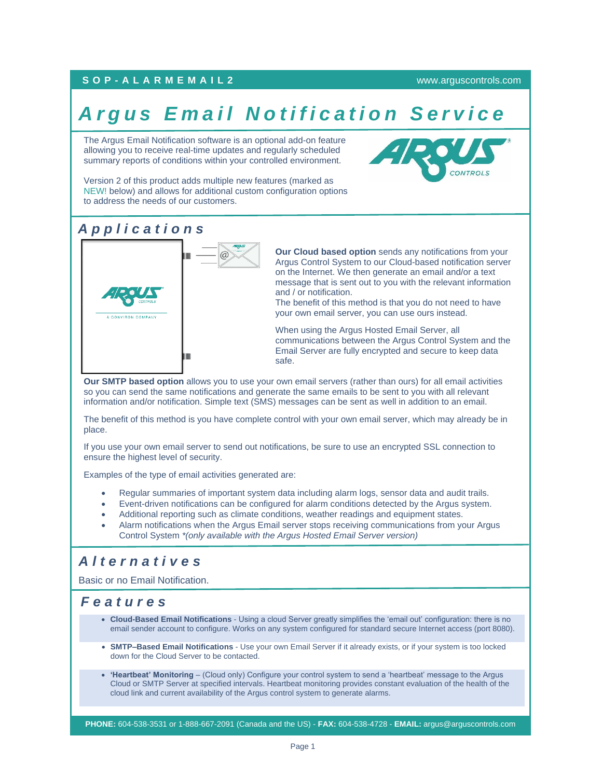### **S O P - A L A R M E M A I L 2** [www.arguscontrols.com](file:///C:/Users/afermon/AppData/Local/Microsoft/Windows/INetCache/Content.Outlook/M660HEMV/www.arguscontrols.com)

# **Argus Email Notification Service**

The Argus Email Notification software is an optional add-on feature allowing you to receive real-time updates and regularly scheduled summary reports of conditions within your controlled environment.



Version 2 of this product adds multiple new features (marked as NEW! below) and allows for additional custom configuration options to address the needs of our customers.

# *A p p l i c a t i o n s*



**Our Cloud based option** sends any notifications from your Argus Control System to our Cloud-based notification server on the Internet. We then generate an email and/or a text message that is sent out to you with the relevant information and / or notification.

The benefit of this method is that you do not need to have your own email server, you can use ours instead.

When using the Argus Hosted Email Server, all communications between the Argus Control System and the Email Server are fully encrypted and secure to keep data safe.

**Our SMTP based option** allows you to use your own email servers (rather than ours) for all email activities so you can send the same notifications and generate the same emails to be sent to you with all relevant information and/or notification. Simple text (SMS) messages can be sent as well in addition to an email.

The benefit of this method is you have complete control with your own email server, which may already be in place.

If you use your own email server to send out notifications, be sure to use an encrypted SSL connection to ensure the highest level of security.

Examples of the type of email activities generated are:

- Regular summaries of important system data including alarm logs, sensor data and audit trails.
- Event-driven notifications can be configured for alarm conditions detected by the Argus system.
- Additional reporting such as climate conditions, weather readings and equipment states.
- Alarm notifications when the Argus Email server stops receiving communications from your Argus Control System *\*(only available with the Argus Hosted Email Server version)*

# *A l t e r n a t i v e s*

Basic or no Email Notification.

# *F e a t u r e s*

- **Cloud-Based Email Notifications** Using a cloud Server greatly simplifies the 'email out' configuration: there is no email sender account to configure. Works on any system configured for standard secure Internet access (port 8080).
- **SMTP–Based Email Notifications** Use your own Email Server if it already exists, or if your system is too locked down for the Cloud Server to be contacted.
- **'Heartbeat' Monitoring** (Cloud only) Configure your control system to send a 'heartbeat' message to the Argus Cloud or SMTP Server at specified intervals. Heartbeat monitoring provides constant evaluation of the health of the cloud link and current availability of the Argus control system to generate alarms.

**PHONE:** 604-538-3531 or 1-888-667-2091 (Canada and the US) - **FAX:** 604-538-4728 - **EMAIL:** argus@arguscontrols.com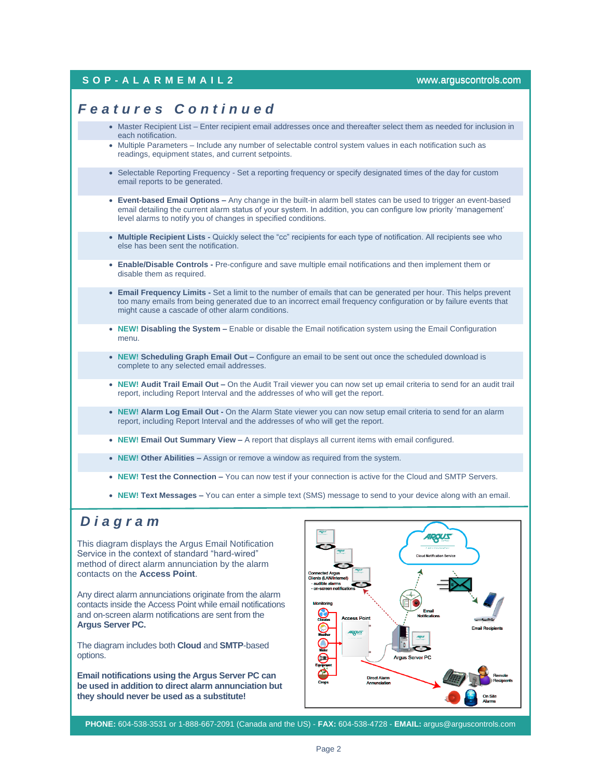### **S O P - A L A R M E M A I L 2** [www.arguscontrols.com](file:///C:/Users/afermon/AppData/Local/Microsoft/Windows/INetCache/Content.Outlook/M660HEMV/www.arguscontrols.com)

### *F e a t u r e s C o n t i n u e d*

- Master Recipient List Enter recipient email addresses once and thereafter select them as needed for inclusion in each notification.
- Multiple Parameters Include any number of selectable control system values in each notification such as readings, equipment states, and current setpoints.
- Selectable Reporting Frequency Set a reporting frequency or specify designated times of the day for custom email reports to be generated.
- **Event-based Email Options –** Any change in the built-in alarm bell states can be used to trigger an event-based email detailing the current alarm status of your system. In addition, you can configure low priority 'management' level alarms to notify you of changes in specified conditions.
- **Multiple Recipient Lists -** Quickly select the "cc" recipients for each type of notification. All recipients see who else has been sent the notification.
- **Enable/Disable Controls -** Pre-configure and save multiple email notifications and then implement them or disable them as required.
- **Email Frequency Limits -** Set a limit to the number of emails that can be generated per hour. This helps prevent too many emails from being generated due to an incorrect email frequency configuration or by failure events that might cause a cascade of other alarm conditions.
- **NEW! Disabling the System –** Enable or disable the Email notification system using the Email Configuration menu.
- **NEW! Scheduling Graph Email Out –** Configure an email to be sent out once the scheduled download is complete to any selected email addresses.
- **NEW! Audit Trail Email Out –** On the Audit Trail viewer you can now set up email criteria to send for an audit trail report, including Report Interval and the addresses of who will get the report.
- **NEW! Alarm Log Email Out -** On the Alarm State viewer you can now setup email criteria to send for an alarm report, including Report Interval and the addresses of who will get the report.
- **NEW! Email Out Summary View –** A report that displays all current items with email configured.
- **NEW! Other Abilities –** Assign or remove a window as required from the system.
- **NEW! Test the Connection –** You can now test if your connection is active for the Cloud and SMTP Servers.
- **NEW! Text Messages –** You can enter a simple text (SMS) message to send to your device along with an email.

# *D i a g r a m*

This diagram displays the Argus Email Notification Service in the context of standard "hard-wired" method of direct alarm annunciation by the alarm contacts on the **Access Point**.

Any direct alarm annunciations originate from the alarm contacts inside the Access Point while email notifications and on-screen alarm notifications are sent from the **Argus Server PC.**

The diagram includes both **Cloud** and **SMTP**-based options.

**Email notifications using the Argus Server PC can be used in addition to direct alarm annunciation but they should never be used as a substitute!**



**PHONE:** 604-538-3531 or 1-888-667-2091 (Canada and the US) - **FAX:** 604-538-4728 - **EMAIL:** argus@arguscontrols.com